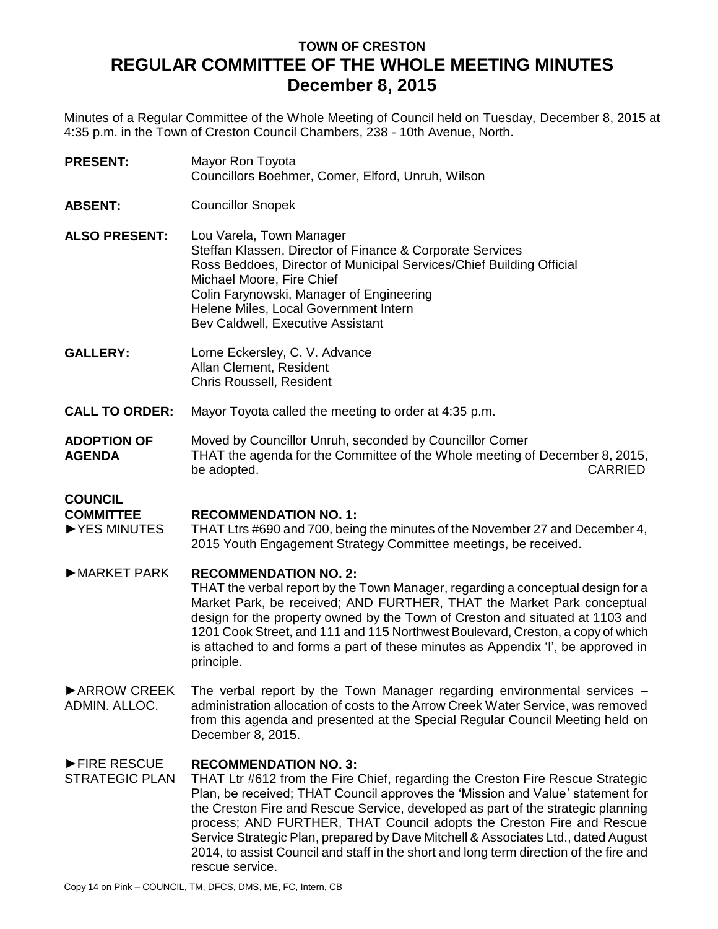# **TOWN OF CRESTON REGULAR COMMITTEE OF THE WHOLE MEETING MINUTES December 8, 2015**

Minutes of a Regular Committee of the Whole Meeting of Council held on Tuesday, December 8, 2015 at 4:35 p.m. in the Town of Creston Council Chambers, 238 - 10th Avenue, North.

- **PRESENT:** Mayor Ron Toyota Councillors Boehmer, Comer, Elford, Unruh, Wilson
- **ABSENT:** Councillor Snopek
- **ALSO PRESENT:** Lou Varela, Town Manager Steffan Klassen, Director of Finance & Corporate Services Ross Beddoes, Director of Municipal Services/Chief Building Official Michael Moore, Fire Chief Colin Farynowski, Manager of Engineering Helene Miles, Local Government Intern Bev Caldwell, Executive Assistant
- **GALLERY:** Lorne Eckersley, C. V. Advance Allan Clement, Resident Chris Roussell, Resident
- **CALL TO ORDER:** Mayor Toyota called the meeting to order at 4:35 p.m.
- **ADOPTION OF AGENDA** Moved by Councillor Unruh, seconded by Councillor Comer THAT the agenda for the Committee of the Whole meeting of December 8, 2015, be adopted. CARRIED

#### **COUNCIL COMMITTEE**

### **RECOMMENDATION NO. 1:**

►YES MINUTES THAT Ltrs #690 and 700, being the minutes of the November 27 and December 4, 2015 Youth Engagement Strategy Committee meetings, be received.

## ►MARKET PARK **RECOMMENDATION NO. 2:**

THAT the verbal report by the Town Manager, regarding a conceptual design for a Market Park, be received; AND FURTHER, THAT the Market Park conceptual design for the property owned by the Town of Creston and situated at 1103 and 1201 Cook Street, and 111 and 115 Northwest Boulevard, Creston, a copy of which is attached to and forms a part of these minutes as Appendix 'I', be approved in principle.

►ARROW CREEK ADMIN. ALLOC. The verbal report by the Town Manager regarding environmental services – administration allocation of costs to the Arrow Creek Water Service, was removed from this agenda and presented at the Special Regular Council Meeting held on December 8, 2015.

#### ►FIRE RESCUE **RECOMMENDATION NO. 3:**

STRATEGIC PLAN THAT Ltr #612 from the Fire Chief, regarding the Creston Fire Rescue Strategic Plan, be received; THAT Council approves the 'Mission and Value' statement for the Creston Fire and Rescue Service, developed as part of the strategic planning process; AND FURTHER, THAT Council adopts the Creston Fire and Rescue Service Strategic Plan, prepared by Dave Mitchell & Associates Ltd., dated August 2014, to assist Council and staff in the short and long term direction of the fire and rescue service.